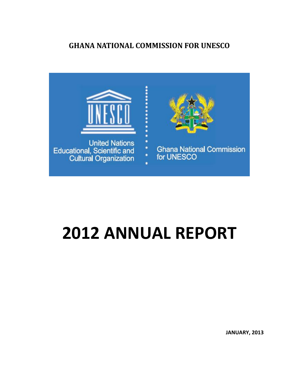# **GHANA NATIONAL COMMISSION FOR UNESCO**



# **2012 ANNUAL REPORT**

**JANUARY, 2013**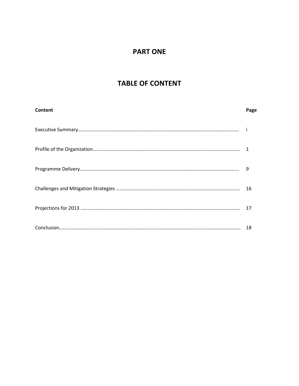# **PART ONE**

# **TABLE OF CONTENT**

| Content | Page |
|---------|------|
|         |      |
|         |      |
|         | 9    |
|         | 16   |
|         | 17   |
|         | 18   |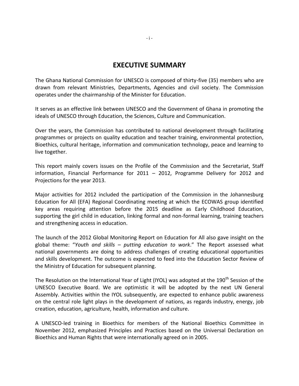# **EXECUTIVE SUMMARY**

The Ghana National Commission for UNESCO is composed of thirty-five (35) members who are drawn from relevant Ministries, Departments, Agencies and civil society. The Commission operates under the chairmanship of the Minister for Education.

It serves as an effective link between UNESCO and the Government of Ghana in promoting the ideals of UNESCO through Education, the Sciences, Culture and Communication.

Over the years, the Commission has contributed to national development through facilitating programmes or projects on quality education and teacher training, environmental protection, Bioethics, cultural heritage, information and communication technology, peace and learning to live together.

This report mainly covers issues on the Profile of the Commission and the Secretariat, Staff information, Financial Performance for 2011 – 2012, Programme Delivery for 2012 and Projections for the year 2013.

Major activities for 2012 included the participation of the Commission in the Johannesburg Education for All (EFA) Regional Coordinating meeting at which the ECOWAS group identified key areas requiring attention before the 2015 deadline as Early Childhood Education, supporting the girl child in education, linking formal and non-formal learning, training teachers and strengthening access in education.

The launch of the 2012 Global Monitoring Report on Education for All also gave insight on the global theme: "*Youth and skills – putting education to work*." The Report assessed what national governments are doing to address challenges of creating educational opportunities and skills development. The outcome is expected to feed into the Education Sector Review of the Ministry of Education for subsequent planning.

The Resolution on the International Year of Light (IYOL) was adopted at the 190<sup>th</sup> Session of the UNESCO Executive Board. We are optimistic it will be adopted by the next UN General Assembly. Activities within the IYOL subsequently, are expected to enhance public awareness on the central role light plays in the development of nations, as regards industry, energy, job creation, education, agriculture, health, information and culture.

A UNESCO-led training in Bioethics for members of the National Bioethics Committee in November 2012, emphasized Principles and Practices based on the Universal Declaration on Bioethics and Human Rights that were internationally agreed on in 2005.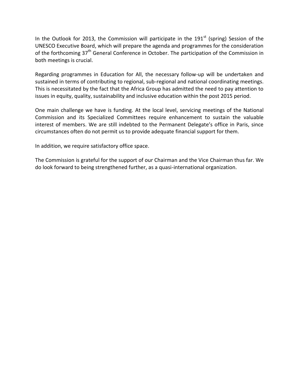In the Outlook for 2013, the Commission will participate in the 191 $^{\text{st}}$  (spring) Session of the UNESCO Executive Board, which will prepare the agenda and programmes for the consideration of the forthcoming 37<sup>th</sup> General Conference in October. The participation of the Commission in both meetings is crucial.

Regarding programmes in Education for All, the necessary follow-up will be undertaken and sustained in terms of contributing to regional, sub-regional and national coordinating meetings. This is necessitated by the fact that the Africa Group has admitted the need to pay attention to issues in equity, quality, sustainability and inclusive education within the post 2015 period.

One main challenge we have is funding. At the local level, servicing meetings of the National Commission and its Specialized Committees require enhancement to sustain the valuable interest of members. We are still indebted to the Permanent Delegate's office in Paris, since circumstances often do not permit us to provide adequate financial support for them.

In addition, we require satisfactory office space.

The Commission is grateful for the support of our Chairman and the Vice Chairman thus far. We do look forward to being strengthened further, as a quasi-international organization.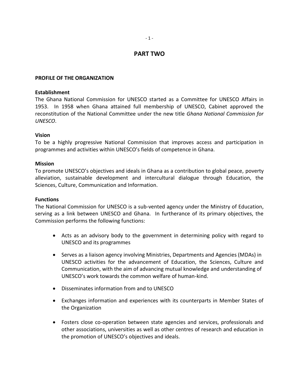# **PART TWO**

# **PROFILE OF THE ORGANIZATION**

# **Establishment**

The Ghana National Commission for UNESCO started as a Committee for UNESCO Affairs in 1953. In 1958 when Ghana attained full membership of UNESCO, Cabinet approved the reconstitution of the National Committee under the new title *Ghana National Commission for UNESCO*.

# **Vision**

To be a highly progressive National Commission that improves access and participation in programmes and activities within UNESCO's fields of competence in Ghana.

# **Mission**

To promote UNESCO's objectives and ideals in Ghana as a contribution to global peace, poverty alleviation, sustainable development and intercultural dialogue through Education, the Sciences, Culture, Communication and Information.

# **Functions**

The National Commission for UNESCO is a sub-vented agency under the Ministry of Education, serving as a link between UNESCO and Ghana. In furtherance of its primary objectives, the Commission performs the following functions:

- Acts as an advisory body to the government in determining policy with regard to UNESCO and its programmes
- Serves as a liaison agency involving Ministries, Departments and Agencies (MDAs) in UNESCO activities for the advancement of Education, the Sciences, Culture and Communication, with the aim of advancing mutual knowledge and understanding of UNESCO's work towards the common welfare of human-kind.
- Disseminates information from and to UNESCO
- Exchanges information and experiences with its counterparts in Member States of the Organization
- Fosters close co-operation between state agencies and services, professionals and other associations, universities as well as other centres of research and education in the promotion of UNESCO's objectives and ideals.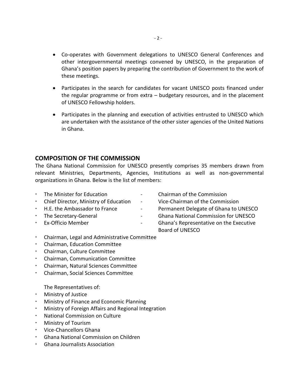- Co-operates with Government delegations to UNESCO General Conferences and other intergovernmental meetings convened by UNESCO, in the preparation of Ghana's position papers by preparing the contribution of Government to the work of these meetings.
- Participates in the search for candidates for vacant UNESCO posts financed under the regular programme or from extra – budgetary resources, and in the placement of UNESCO Fellowship holders.
- Participates in the planning and execution of activities entrusted to UNESCO which are undertaken with the assistance of the other sister agencies of the United Nations in Ghana.

# **COMPOSITION OF THE COMMISSION**

The Ghana National Commission for UNESCO presently comprises 35 members drawn from relevant Ministries, Departments, Agencies, Institutions as well as non-governmental organizations in Ghana. Below is the list of members:

- The Minister for Education Chairman of the Commission
- Chief Director, Ministry of Education Vice-Chairman of the Commission
- 
- 
- 
- 
- 
- H.E. the Ambassador to France The Communist Pelegate of Ghana to UNESCO
- The Secretary-General The Secretary-General The Secretary-General Commission for UNESCO
- Ex-Officio Member Ghana's Representative on the Executive Board of UNESCO
- Chairman, Legal and Administrative Committee
- Chairman, Education Committee
- Chairman, Culture Committee
- Chairman, Communication Committee
- Chairman, Natural Sciences Committee
- Chairman, Social Sciences Committee

The Representatives of:

- Ministry of Justice
- Ministry of Finance and Economic Planning
- Ministry of Foreign Affairs and Regional Integration
- National Commission on Culture
- Ministry of Tourism
- Vice-Chancellors Ghana
- Ghana National Commission on Children
- Ghana Journalists Association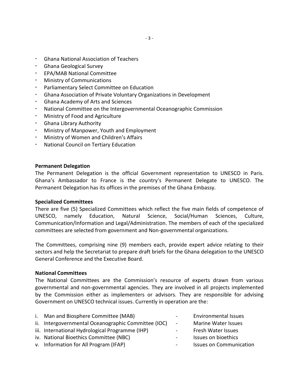- Ghana National Association of Teachers
- Ghana Geological Survey
- EPA/MAB National Committee
- Ministry of Communications
- Parliamentary Select Committee on Education
- Ghana Association of Private Voluntary Organizations in Development
- Ghana Academy of Arts and Sciences
- National Committee on the Intergovernmental Oceanographic Commission
- Ministry of Food and Agriculture
- Ghana Library Authority
- Ministry of Manpower, Youth and Employment
- Ministry of Women and Children's Affairs
- National Council on Tertiary Education

# **Permanent Delegation**

The Permanent Delegation is the official Government representation to UNESCO in Paris. Ghana's Ambassador to France is the country's Permanent Delegate to UNESCO. The Permanent Delegation has its offices in the premises of the Ghana Embassy.

#### **Specialized Committees**

There are five (5) Specialized Committees which reflect the five main fields of competence of UNESCO, namely Education, Natural Science, Social/Human Sciences, Culture, Communication/Information and Legal/Administration. The members of each of the specialized committees are selected from government and Non-governmental organizations.

The Committees, comprising nine (9) members each, provide expert advice relating to their sectors and help the Secretariat to prepare draft briefs for the Ghana delegation to the UNESCO General Conference and the Executive Board.

# **National Committees**

The National Committees are the Commission's resource of experts drawn from various governmental and non-governmental agencies. They are involved in all projects implemented by the Commission either as implementers or advisors. They are responsible for advising Government on UNESCO technical issues. Currently in operation are the:

| i. Man and Biosphere Committee (MAB)                | $\sim$                   | <b>Environmental Issues</b>    |
|-----------------------------------------------------|--------------------------|--------------------------------|
| ii. Intergovernmental Oceanographic Committee (IOC) | $\sim$                   | <b>Marine Water Issues</b>     |
| iii. International Hydrological Programme (IHP)     | $\overline{\phantom{a}}$ | Fresh Water Issues             |
| iv. National Bioethics Committee (NBC)              | $\blacksquare$           | Issues on bioethics            |
| v. Information for All Program (IFAP)               | $\overline{\phantom{a}}$ | <b>Issues on Communication</b> |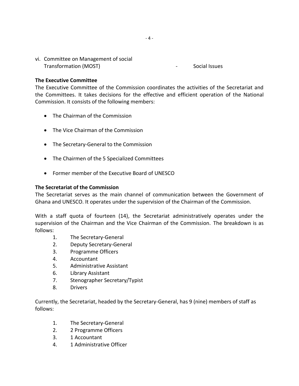vi. Committee on Management of social Transformation (MOST) and the social Issues of the Social Issues

# **The Executive Committee**

The Executive Committee of the Commission coordinates the activities of the Secretariat and the Committees. It takes decisions for the effective and efficient operation of the National Commission. It consists of the following members:

- The Chairman of the Commission
- The Vice Chairman of the Commission
- The Secretary-General to the Commission
- The Chairmen of the 5 Specialized Committees
- Former member of the Executive Board of UNESCO

# **The Secretariat of the Commission**

The Secretariat serves as the main channel of communication between the Government of Ghana and UNESCO. It operates under the supervision of the Chairman of the Commission.

With a staff quota of fourteen (14), the Secretariat administratively operates under the supervision of the Chairman and the Vice Chairman of the Commission. The breakdown is as follows:

- 1. The Secretary-General
- 2. Deputy Secretary-General
- 3. Programme Officers
- 4. Accountant
- 5. Administrative Assistant
- 6. Library Assistant
- 7. Stenographer Secretary/Typist
- 8. Drivers

Currently, the Secretariat, headed by the Secretary-General, has 9 (nine) members of staff as follows:

- 1. The Secretary-General
- 2. 2 Programme Officers
- 3. 1 Accountant
- 4. 1 Administrative Officer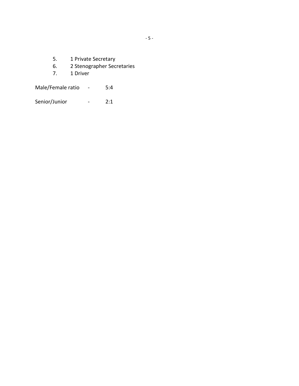- 
- 5. 1 Private Secretary<br>6. 2 Stenographer Secr 6. 2 Stenographer Secretaries<br>7. 1 Driver
- 7. 1 Driver

Male/Female ratio - 5:4

Senior/Junior - 2:1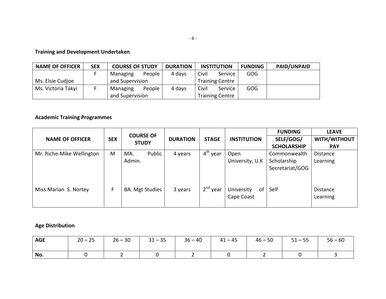# **Training and Development Undertaken**

| <b>NAME OF OFFICER</b> | <b>SEX</b> | <b>COURSE OF STUDY</b> |        | <b>DURATION</b> | <b>INSTITUTION</b>     |                        | <b>FUNDING</b> | <b>PAID/UNPAID</b> |
|------------------------|------------|------------------------|--------|-----------------|------------------------|------------------------|----------------|--------------------|
|                        |            | Managing               | People | 4 days          | Civil                  | Service                | GOG            |                    |
| Ms. Elsie Cudjoe       |            | and Supervision        |        |                 | <b>Training Centre</b> |                        |                |                    |
| Ms. Victoria Takyi     |            | Managing               | People | 4 days          | Civil                  | Service                | <b>GOG</b>     |                    |
|                        |            | and Supervision        |        |                 |                        | <b>Training Centre</b> |                |                    |

# **Academic Training Programmes**

|                           |                                                |                        |                 |              |                                | <b>FUNDING</b>     | <b>LEAVE</b>                |
|---------------------------|------------------------------------------------|------------------------|-----------------|--------------|--------------------------------|--------------------|-----------------------------|
| <b>NAME OF OFFICER</b>    | <b>COURSE OF</b><br><b>SEX</b><br><b>STUDY</b> |                        | <b>DURATION</b> | <b>STAGE</b> | <b>INSTITUTION</b>             | SELF/GOG/          | WITH/WITHOUT                |
|                           |                                                |                        |                 |              |                                | <b>SCHOLARSHIP</b> | <b>PAY</b>                  |
| Mr. Riche-Mike Wellington | M                                              | Public<br>MA.          | 4 years         | $4th$ year   | Open                           | Commonwealth       | <b>Distance</b>             |
|                           |                                                | Admin.                 |                 |              | University, U.K                | Scholarship        | Learning                    |
|                           |                                                |                        |                 |              |                                | Secretariat/GOG    |                             |
| Miss Marian S. Nortey     | F                                              | <b>BA. Mgt Studies</b> | 3 years         | $2nd$ year   | University<br>of<br>Cape Coast | Self               | <b>Distance</b><br>Learning |

# **Age Distribution**

| <b>AGE</b> | $20 - 25$ | $26 - 30$ | $31 - 35$ | $36 - 40$ | $41 - 45$ | $46 - 50$ | $51 - 55$ | $56 - 60$ |
|------------|-----------|-----------|-----------|-----------|-----------|-----------|-----------|-----------|
| No.        |           |           |           |           |           |           |           |           |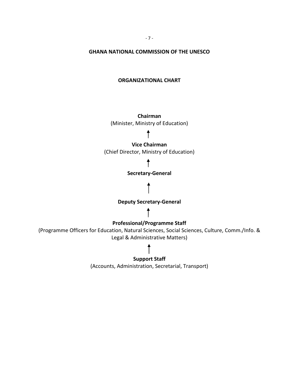# **GHANA NATIONAL COMMISSION OF THE UNESCO**

# **ORGANIZATIONAL CHART**

**Chairman** (Minister, Ministry of Education)

# **Vice Chairman**

(Chief Director, Ministry of Education)

# T

### **Secretary-General**

# **Deputy Secretary-General**

# **Professional/Programme Staff**

(Programme Officers for Education, Natural Sciences, Social Sciences, Culture, Comm./Info. & Legal & Administrative Matters)

# **Support Staff**

(Accounts, Administration, Secretarial, Transport)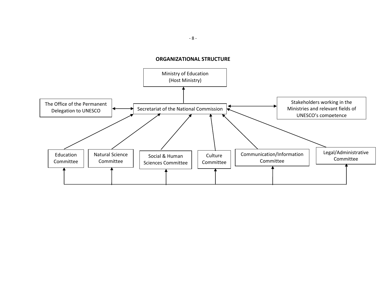# **ORGANIZATIONAL STRUCTURE**



- 8 -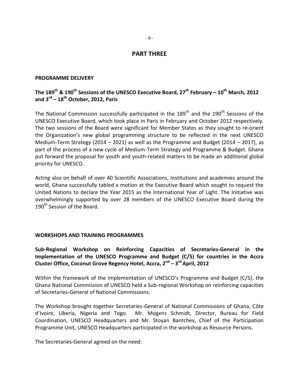# **PART THREE**

# **PROGRAMME DELIVERY**

# **The 189th & 190 th Sessions of the UNESCO Executive Board, 27th February – 10th March, 2012 and 3 rd – 18th October, 2012, Paris**

The National Commission successfully participated in the  $189<sup>th</sup>$  and the  $190<sup>th</sup>$  Sessions of the UNESCO Executive Board, which took place in Paris in February and October 2012 respectively. The two sessions of the Board were significant for Member States as they sought to re-orient the Organization's new global programming structure to be reflected in the next UNESCO Medium-Term Strategy (2014 – 2021) as well as the Programme and Budget (2014 – 2017), as part of the process of a new cycle of Medium-Term Strategy and Programme & Budget. Ghana put forward the proposal for youth and youth-related matters to be made an additional global priority for UNESCO.

Acting also on behalf of over 40 Scientific Associations, Institutions and academies around the world, Ghana successfully tabled a motion at the Executive Board which sought to request the United Nations to declare the Year 2015 as the International Year of Light. The Initiative was overwhelmingly supported by over 28 members of the UNESCO Executive Board during the 190<sup>th</sup> Session of the Board.

# **WORKSHOPS AND TRAINING PROGRAMMES**

**Sub-Regional Workshop on Reinforcing Capacities of Secretaries-General in the Implementation of the UNESCO Programme and Budget (C/5) for countries in the Accra Cluster Office, Coconut Grove Regency Hotel, Accra, 2 nd – 3 rdApril, 2012**

Within the framework of the implementation of UNESCO's Programme and Budget (C/5), the Ghana National Commission of UNESCO held a Sub-regional Workshop on reinforcing capacities of Secretaries-General of National Commissions.

The Workshop brought together Secretaries-General of National Commissions of Ghana, Côte d'Ivoire, Liberia, Nigeria and Togo. Mr. Mogens Schmidt, Director, Bureau for Field Coordination, UNESCO Headquarters and Mr. Stoyan Bantchev, Chief of the Participation Programme Unit, UNESCO Headquarters participated in the workshop as Resource Persons.

The Secretaries-General agreed on the need: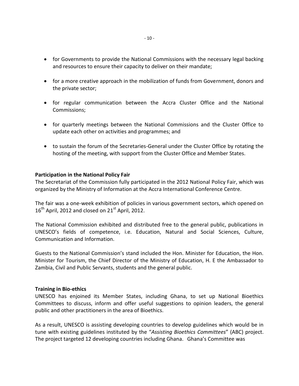- for Governments to provide the National Commissions with the necessary legal backing and resources to ensure their capacity to deliver on their mandate;
- for a more creative approach in the mobilization of funds from Government, donors and the private sector;
- for regular communication between the Accra Cluster Office and the National Commissions;
- for quarterly meetings between the National Commissions and the Cluster Office to update each other on activities and programmes; and
- to sustain the forum of the Secretaries-General under the Cluster Office by rotating the hosting of the meeting, with support from the Cluster Office and Member States.

# **Participation in the National Policy Fair**

The Secretariat of the Commission fully participated in the 2012 National Policy Fair, which was organized by the Ministry of Information at the Accra International Conference Centre.

The fair was a one-week exhibition of policies in various government sectors, which opened on  $16^{th}$  April, 2012 and closed on 21<sup>st</sup> April, 2012.

The National Commission exhibited and distributed free to the general public, publications in UNESCO's fields of competence, i.e. Education, Natural and Social Sciences, Culture, Communication and Information.

Guests to the National Commission's stand included the Hon. Minister for Education, the Hon. Minister for Tourism, the Chief Director of the Ministry of Education, H. E the Ambassador to Zambia, Civil and Public Servants, students and the general public.

# **Training in Bio-ethics**

UNESCO has enjoined its Member States, including Ghana, to set up National Bioethics Committees to discuss, inform and offer useful suggestions to opinion leaders, the general public and other practitioners in the area of Bioethics.

As a result, UNESCO is assisting developing countries to develop guidelines which would be in tune with existing guidelines instituted by the "*Assisting Bioethics Committees*" (ABC) project. The project targeted 12 developing countries including Ghana. Ghana's Committee was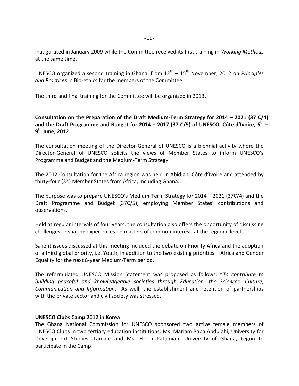inaugurated in January 2009 while the Committee received its first training in *Working Methods* at the same time.

UNESCO organized a second training in Ghana, from  $12^{\text{th}} - 15^{\text{th}}$  November, 2012 on *Principles and Practices* in Bio-ethics for the members of the Committee.

The third and final training for the Committee will be organized in 2013.

# **Consultation on the Preparation of the Draft Medium-Term Strategy for 2014 – 2021 (37 C/4) and the Draft Programme and Budget for 2014 – 2017 (37 C/5) of UNESCO, Côte d'Ivoire, 6th – 9 th June, 2012**

The consultation meeting of the Director-General of UNESCO is a biennial activity where the Director-General of UNESCO solicits the views of Member States to inform UNESCO's Programme and Budget and the Medium-Term Strategy.

The 2012 Consultation for the Africa region was held in Abidjan, Côte d'Ivoire and attended by thirty-four (34) Member States from Africa, including Ghana.

The purpose was to prepare UNESCO's Medium-Term Strategy for 2014 – 2021 (37C/4) and the Draft Programme and Budget (37C/5), employing Member States' contributions and observations.

Held at regular intervals of four years, the consultation also offers the opportunity of discussing challenges or sharing experiences on matters of common interest, at the regional level.

Salient issues discussed at this meeting included the debate on Priority Africa and the adoption of a third global priority, i.e. Youth, in addition to the two existing priorities – Africa and Gender Equality for the next 8-year Medium-Term period.

The reformulated UNESCO Mission Statement was proposed as follows: "*To contribute to building peaceful and knowledgeable societies through Education, the Sciences, Culture, Communication and Information*." As well, the establishment and retention of partnerships with the private sector and civil society was stressed.

# **UNESCO Clubs Camp 2012 in Korea**

The Ghana National Commission for UNESCO sponsored two active female members of UNESCO Clubs in two tertiary education institutions: Ms. Mariam Baba Abdulahi, University for Development Studies, Tamale and Ms. Elorm Patamiah, University of Ghana, Legon to participate in the Camp.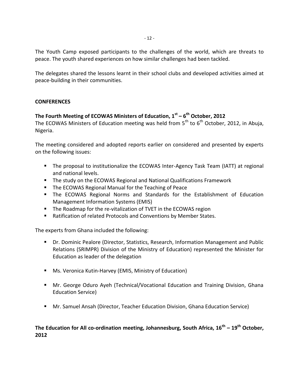The Youth Camp exposed participants to the challenges of the world, which are threats to peace. The youth shared experiences on how similar challenges had been tackled.

The delegates shared the lessons learnt in their school clubs and developed activities aimed at peace-building in their communities.

# **CONFERENCES**

# **The Fourth Meeting of ECOWAS Ministers of Education, 1st – 6 th October, 2012**

The ECOWAS Ministers of Education meeting was held from  $5<sup>th</sup>$  to  $6<sup>th</sup>$  October, 2012, in Abuja, Nigeria.

The meeting considered and adopted reports earlier on considered and presented by experts on the following issues:

- The proposal to institutionalize the ECOWAS Inter-Agency Task Team (IATT) at regional and national levels.
- The study on the ECOWAS Regional and National Qualifications Framework
- **The ECOWAS Regional Manual for the Teaching of Peace**
- **The ECOWAS Regional Norms and Standards for the Establishment of Education** Management Information Systems (EMIS)
- **The Roadmap for the re-vitalization of TVET in the ECOWAS region**
- Ratification of related Protocols and Conventions by Member States.

The experts from Ghana included the following:

- Dr. Dominic Pealore (Director, Statistics, Research, Information Management and Public Relations (SRIMPR) Division of the Ministry of Education) represented the Minister for Education as leader of the delegation
- **Ms. Veronica Kutin-Harvey (EMIS, Ministry of Education)**
- Mr. George Oduro Ayeh (Technical/Vocational Education and Training Division, Ghana Education Service)
- Mr. Samuel Ansah (Director, Teacher Education Division, Ghana Education Service)

# **The Education for All co-ordination meeting, Johannesburg, South Africa, 16th – 19th October, 2012**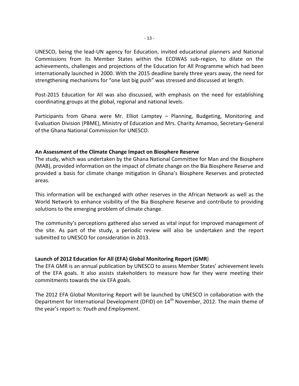UNESCO, being the lead-UN agency for Education, invited educational planners and National Commissions from its Member States within the ECOWAS sub-region, to dilate on the achievements, challenges and projections of the Education for All Programme which had been internationally launched in 2000. With the 2015 deadline barely three years away, the need for strengthening mechanisms for "one last big push" was stressed and discussed at length.

Post-2015 Education for All was also discussed, with emphasis on the need for establishing coordinating groups at the global, regional and national levels.

Participants from Ghana were Mr. Elliot Lamptey – Planning, Budgeting, Monitoring and Evaluation Division (PBME), Ministry of Education and Mrs. Charity Amamoo, Secretary-General of the Ghana National Commission for UNESCO.

# **An Assessment of the Climate Change Impact on Biosphere Reserve**

The study, which was undertaken by the Ghana National Committee for Man and the Biosphere (MAB), provided information on the impact of climate change on the Bia Biosphere Reserve and provided a basis for climate change mitigation in Ghana's Biosphere Reserves and protected areas.

This information will be exchanged with other reserves in the African Network as well as the World Network to enhance visibility of the Bia Biosphere Reserve and contribute to providing solutions to the emerging problem of climate change.

The community's perceptions gathered also served as vital input for improved management of the site. As part of the study, a periodic review will also be undertaken and the report submitted to UNESCO for consideration in 2013.

# **Launch of 2012 Education for All (EFA) Global Monitoring Report (GMR**)

The EFA GMR is an annual publication by UNESCO to assess Member States' achievement levels of the EFA goals. It also assists stakeholders to measure how far they were meeting their commitments towards the six EFA goals.

The 2012 EFA Global Monitoring Report will be launched by UNESCO in collaboration with the Department for International Development (DFID) on 14<sup>th</sup> November, 2012. The main theme of the year's report is: *Youth and Employment*.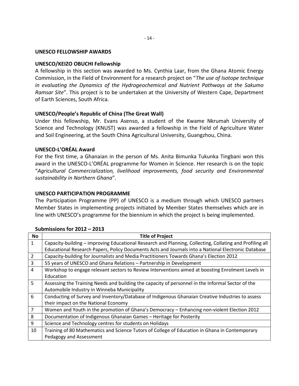# **UNESCO FELLOWSHIP AWARDS**

# **UNESCO/KEIZO OBUCHI Fellowship**

A fellowship in this section was awarded to Ms. Cynthia Laar, from the Ghana Atomic Energy Commission, in the Field of Environment for a research project on "*The use of Isotope technique in evaluating the Dynamics of the Hydrogeochemical and Nutrient Pathways at the Sakumo Ramsar Site*". This project is to be undertaken at the University of Western Cape, Department of Earth Sciences, South Africa.

# **UNESCO/People's Republic of China (The Great Wall)**

Under this fellowship, Mr. Evans Asenso, a student of the Kwame Nkrumah University of Science and Technology (KNUST) was awarded a fellowship in the Field of Agriculture Water and Soil Engineering, at the South China Agricultural University, Guangzhou, China.

# **UNESCO-L'ORÉAL Award**

For the first time, a Ghanaian in the person of Ms. Anita Bimunka Tukunka Tingbani won this award in the UNESCO-L'ORÉAL programme for Women in Science. Her research is on the topic "*Agricultural Commercialization, livelihood improvements, food security and Environmental sustainability in Northern Ghana*".

# **UNESCO PARTICIPATION PROGRAMME**

The Participation Programme (PP) of UNESCO is a medium through which UNESCO partners Member States in implementing projects initiated by Member States themselves which are in line with UNESCO's programme for the biennium in which the project is being implemented.

| No             | <b>Title of Project</b>                                                                                  |
|----------------|----------------------------------------------------------------------------------------------------------|
| $\mathbf{1}$   | Capacity-building - improving Educational Research and Planning, Collecting, Collating and Profiling all |
|                | Educational Research Papers, Policy Documents Acts and Journals into a National Electronic Database      |
| 2              | Capacity-building for Journalists and Media Practitioners Towards Ghana's Election 2012                  |
| $\overline{3}$ | 55 years of UNESCO and Ghana Relations - Partnership in Development                                      |
| $\overline{4}$ | Workshop to engage relevant sectors to Review Interventions aimed at boosting Enrolment Levels in        |
|                | Education                                                                                                |
| 5              | Assessing the Training Needs and building the capacity of personnel in the Informal Sector of the        |
|                | Automobile Industry in Winneba Municipality                                                              |
| 6              | Conducting of Survey and Inventory/Database of Indigenous Ghanaian Creative Industries to assess         |
|                | their impact on the National Economy                                                                     |
| $\overline{7}$ | Women and Youth in the promotion of Ghana's Democracy - Enhancing non-violent Election 2012              |
| 8              | Documentation of Indigenous Ghanaian Games - Heritage for Posterity                                      |
| 9              | Science and Technology centres for students on Holidays                                                  |
| 10             | Training of 80 Mathematics and Science Tutors of College of Education in Ghana in Contemporary           |
|                | Pedagogy and Assessment                                                                                  |

#### **Submissions for 2012 – 2013**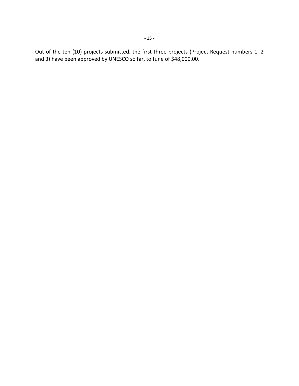Out of the ten (10) projects submitted, the first three projects (Project Request numbers 1, 2 and 3) have been approved by UNESCO so far, to tune of \$48,000.00.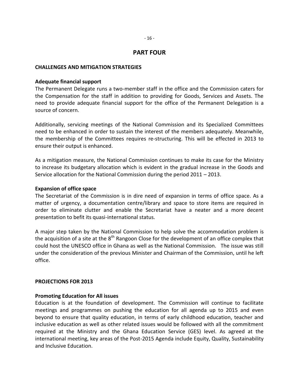# **PART FOUR**

### **CHALLENGES AND MITIGATION STRATEGIES**

#### **Adequate financial support**

The Permanent Delegate runs a two-member staff in the office and the Commission caters for the Compensation for the staff in addition to providing for Goods, Services and Assets. The need to provide adequate financial support for the office of the Permanent Delegation is a source of concern.

Additionally, servicing meetings of the National Commission and its Specialized Committees need to be enhanced in order to sustain the interest of the members adequately. Meanwhile, the membership of the Committees requires re-structuring. This will be effected in 2013 to ensure their output is enhanced.

As a mitigation measure, the National Commission continues to make its case for the Ministry to increase its budgetary allocation which is evident in the gradual increase in the Goods and Service allocation for the National Commission during the period 2011 – 2013.

### **Expansion of office space**

The Secretariat of the Commission is in dire need of expansion in terms of office space. As a matter of urgency, a documentation centre/library and space to store items are required in order to eliminate clutter and enable the Secretariat have a neater and a more decent presentation to befit its quasi-international status.

A major step taken by the National Commission to help solve the accommodation problem is the acquisition of a site at the  $8<sup>th</sup>$  Rangoon Close for the development of an office complex that could host the UNESCO office in Ghana as well as the National Commission. The issue was still under the consideration of the previous Minister and Chairman of the Commission, until he left office.

#### **PROJECTIONS FOR 2013**

# **Promoting Education for All issues**

Education is at the foundation of development. The Commission will continue to facilitate meetings and programmes on pushing the education for all agenda up to 2015 and even beyond to ensure that quality education, in terms of early childhood education, teacher and inclusive education as well as other related issues would be followed with all the commitment required at the Ministry and the Ghana Education Service (GES) level. As agreed at the international meeting, key areas of the Post-2015 Agenda include Equity, Quality, Sustainability and Inclusive Education.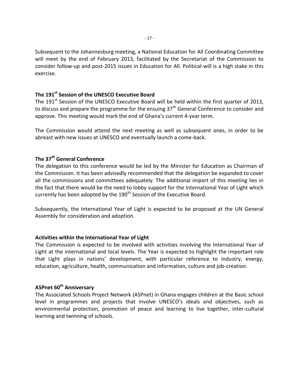Subsequent to the Johannesburg meeting, a National Education for All Coordinating Committee will meet by the end of February 2013, facilitated by the Secretariat of the Commission to consider follow-up and post-2015 issues in Education for All. Political-will is a high stake in this exercise.

# **The 191st Session of the UNESCO Executive Board**

The 191<sup>st</sup> Session of the UNESCO Executive Board will be held within the first quarter of 2013, to discuss and prepare the programme for the ensuing  $37<sup>th</sup>$  General Conference to consider and approve. This meeting would mark the end of Ghana's current 4-year term.

The Commission would attend the next meeting as well as subsequent ones, in order to be abreast with new issues at UNESCO and eventually launch a come-back.

# **The 37th General Conference**

The delegation to this conference would be led by the Minister for Education as Chairman of the Commission. It has been advisedly recommended that the delegation be expanded to cover all the commissions and committees adequately. The additional import of this meeting lies in the fact that there would be the need to lobby support for the International Year of Light which currently has been adopted by the 190<sup>th</sup> Session of the Executive Board.

Subsequently, the International Year of Light is expected to be proposed at the UN General Assembly for consideration and adoption.

# **Activities within the International Year of Light**

The Commission is expected to be involved with activities involving the International Year of Light at the international and local levels. The Year is expected to highlight the important role that Light plays in nations' development, with particular reference to industry, energy, education, agriculture, health, communication and information, culture and job-creation.

# **ASPnet 60th Anniversary**

The Associated Schools Project Network (ASPnet) in Ghana engages children at the Basic school level in programmes and projects that involve UNESCO's ideals and objectives, such as environmental protection, promotion of peace and learning to live together, inter-cultural learning and twinning of schools.